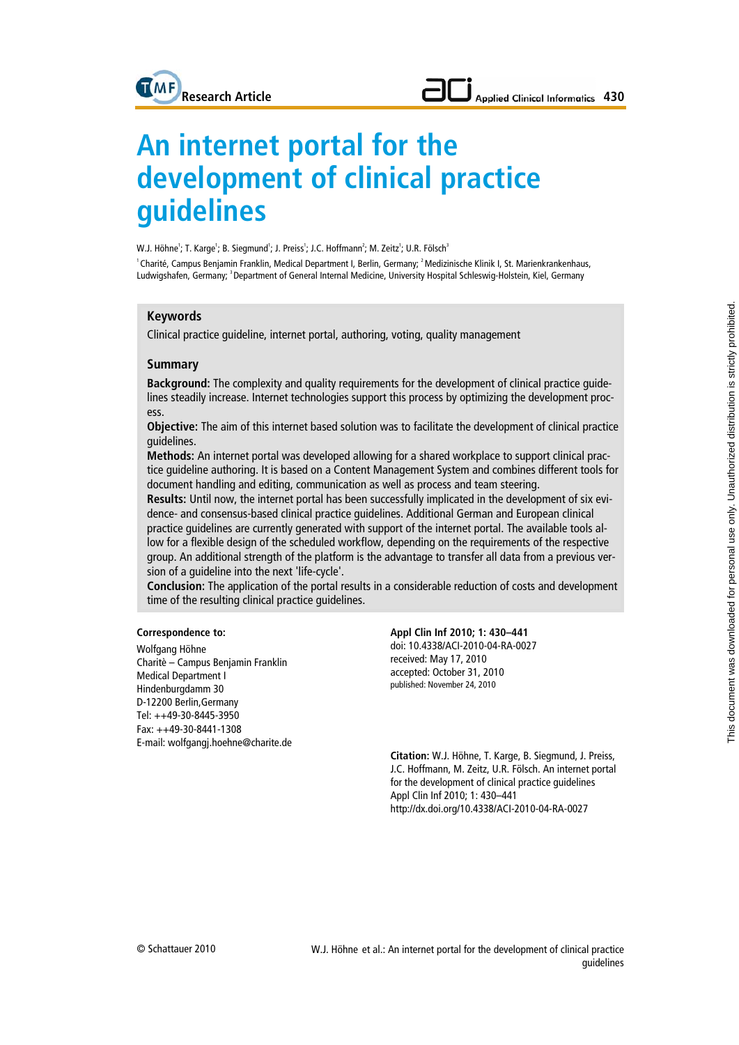# **An internet portal for the development of clinical practice guidelines**

W.J. Höhne<sup>1</sup>; T. Karge<sup>1</sup>; B. Siegmund<sup>1</sup>; J. Preiss<sup>1</sup>; J.C. Hoffmann<sup>2</sup>; M. Zeitz<sup>1</sup>; U.R. Fölsch<sup>3</sup>

<sup>1</sup> Charité, Campus Benjamin Franklin, Medical Department I, Berlin, Germany; <sup>2</sup> Medizinische Klinik I, St. Marienkrankenhaus, Ludwigshafen, Germany; 3 Department of General Internal Medicine, University Hospital Schleswig-Holstein, Kiel, Germany

## **Keywords**

Clinical practice guideline, internet portal, authoring, voting, quality management

## **Summary**

**Background:** The complexity and quality requirements for the development of clinical practice guidelines steadily increase. Internet technologies support this process by optimizing the development process.

**Objective:** The aim of this internet based solution was to facilitate the development of clinical practice guidelines.

**Methods:** An internet portal was developed allowing for a shared workplace to support clinical practice guideline authoring. It is based on a Content Management System and combines different tools for document handling and editing, communication as well as process and team steering.

**Results:** Until now, the internet portal has been successfully implicated in the development of six evidence- and consensus-based clinical practice guidelines. Additional German and European clinical practice guidelines are currently generated with support of the internet portal. The available tools allow for a flexible design of the scheduled workflow, depending on the requirements of the respective group. An additional strength of the platform is the advantage to transfer all data from a previous version of a guideline into the next 'life-cycle'.

**Conclusion:** The application of the portal results in a considerable reduction of costs and development time of the resulting clinical practice guidelines.

#### **Correspondence to:**

Wolfgang Höhne Charitè – Campus Benjamin Franklin Medical Department I Hindenburgdamm 30 D-12200 Berlin,Germany Tel: ++49-30-8445-3950 Fax: ++49-30-8441-1308 E-mail: wolfgangj.hoehne@charite.de **Appl Clin Inf 2010; 1: 430–441** doi: 10.4338/ACI-2010-04-RA-0027 received: May 17, 2010 accepted: October 31, 2010 published: November 24, 2010

**Citation:** W.J. Höhne, T. Karge, B. Siegmund, J. Preiss, J.C. Hoffmann, M. Zeitz, U.R. Fölsch. An internet portal for the development of clinical practice guidelines Appl Clin Inf 2010; 1: 430–441 http://dx.doi.org/10.4338/ACI-2010-04-RA-0027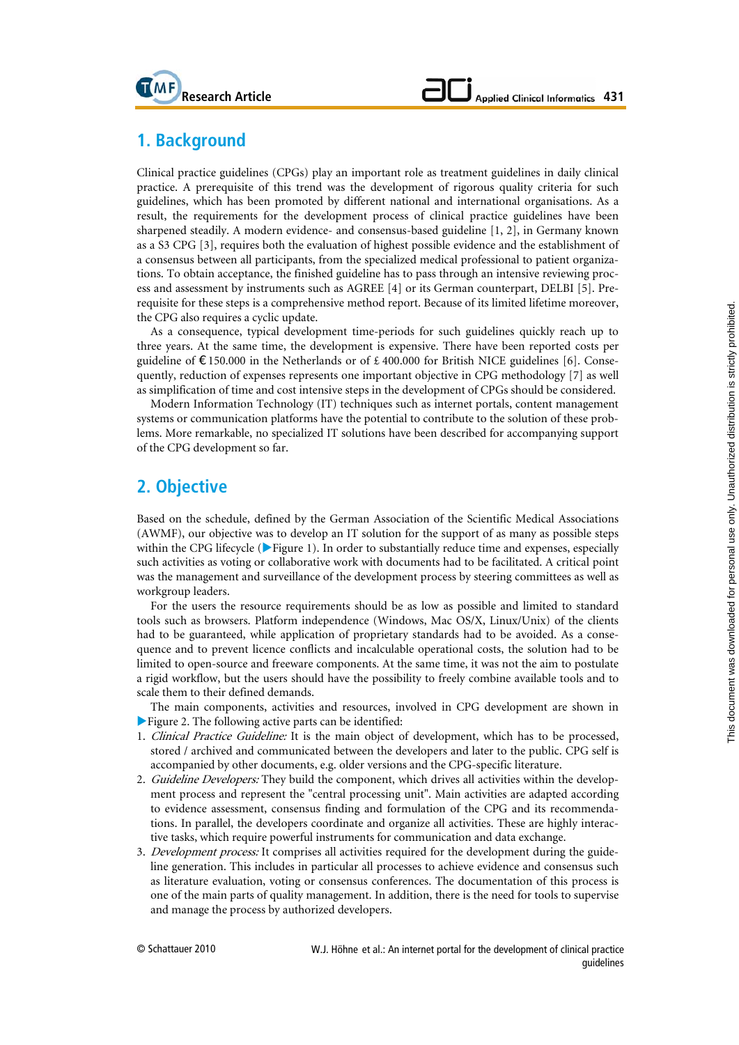

# **1. Background**

Clinical practice guidelines (CPGs) play an important role as treatment guidelines in daily clinical practice. A prerequisite of this trend was the development of rigorous quality criteria for such guidelines, which has been promoted by different national and international organisations. As a result, the requirements for the development process of clinical practice guidelines have been sharpened steadily. A modern evidence- and consensus-based guideline [1, 2], in Germany known as a S3 CPG [3], requires both the evaluation of highest possible evidence and the establishment of a consensus between all participants, from the specialized medical professional to patient organizations. To obtain acceptance, the finished guideline has to pass through an intensive reviewing process and assessment by instruments such as AGREE [4] or its German counterpart, DELBI [5]. Prerequisite for these steps is a comprehensive method report. Because of its limited lifetime moreover, the CPG also requires a cyclic update.

As a consequence, typical development time-periods for such guidelines quickly reach up to three years. At the same time, the development is expensive. There have been reported costs per guideline of  $\epsilon$  150.000 in the Netherlands or of £400.000 for British NICE guidelines [6]. Consequently, reduction of expenses represents one important objective in CPG methodology [7] as well as simplification of time and cost intensive steps in the development of CPGs should be considered.

Modern Information Technology (IT) techniques such as internet portals, content management systems or communication platforms have the potential to contribute to the solution of these problems. More remarkable, no specialized IT solutions have been described for accompanying support of the CPG development so far.

# **2. Objective**

Based on the schedule, defined by the German Association of the Scientific Medical Associations (AWMF), our objective was to develop an IT solution for the support of as many as possible steps within the CPG lifecycle ( $\blacktriangleright$  Figure 1). In order to substantially reduce time and expenses, especially such activities as voting or collaborative work with documents had to be facilitated. A critical point was the management and surveillance of the development process by steering committees as well as workgroup leaders.

For the users the resource requirements should be as low as possible and limited to standard tools such as browsers. Platform independence (Windows, Mac OS/X, Linux/Unix) of the clients had to be guaranteed, while application of proprietary standards had to be avoided. As a consequence and to prevent licence conflicts and incalculable operational costs, the solution had to be limited to open-source and freeware components. At the same time, it was not the aim to postulate a rigid workflow, but the users should have the possibility to freely combine available tools and to scale them to their defined demands.

The main components, activities and resources, involved in CPG development are shown in  $\blacktriangleright$  Figure 2. The following active parts can be identified:

- 1. Clinical Practice Guideline: It is the main object of development, which has to be processed, stored / archived and communicated between the developers and later to the public. CPG self is accompanied by other documents, e.g. older versions and the CPG-specific literature.
- 2. Guideline Developers: They build the component, which drives all activities within the development process and represent the "central processing unit". Main activities are adapted according to evidence assessment, consensus finding and formulation of the CPG and its recommendations. In parallel, the developers coordinate and organize all activities. These are highly interactive tasks, which require powerful instruments for communication and data exchange.
- 3. Development process: It comprises all activities required for the development during the guideline generation. This includes in particular all processes to achieve evidence and consensus such as literature evaluation, voting or consensus conferences. The documentation of this process is one of the main parts of quality management. In addition, there is the need for tools to supervise and manage the process by authorized developers.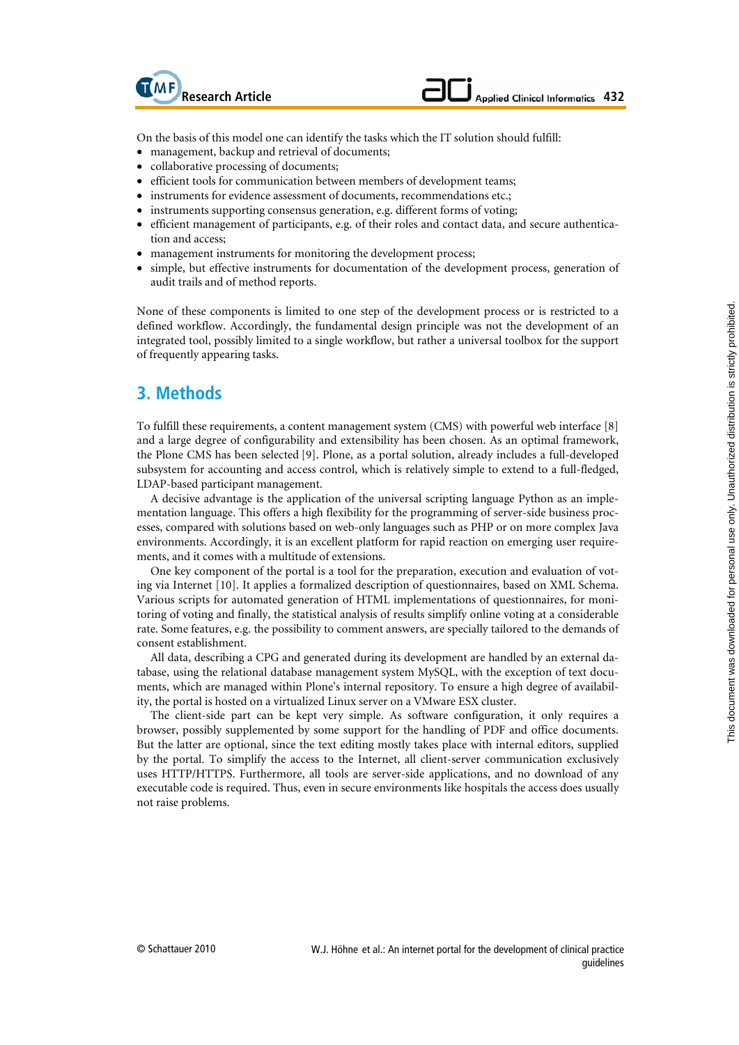On the basis of this model one can identify the tasks which the IT solution should fulfill:

- management, backup and retrieval of documents;
- collaborative processing of documents;
- efficient tools for communication between members of development teams;
- instruments for evidence assessment of documents, recommendations etc.;
- instruments supporting consensus generation, e.g. different forms of voting;
- efficient management of participants, e.g. of their roles and contact data, and secure authentication and access;
- management instruments for monitoring the development process;
- simple, but effective instruments for documentation of the development process, generation of audit trails and of method reports.

None of these components is limited to one step of the development process or is restricted to a defined workflow. Accordingly, the fundamental design principle was not the development of an integrated tool, possibly limited to a single workflow, but rather a universal toolbox for the support of frequently appearing tasks.

## **3. Methods**

To fulfill these requirements, a content management system (CMS) with powerful web interface [8] and a large degree of configurability and extensibility has been chosen. As an optimal framework, the Plone CMS has been selected [9]. Plone, as a portal solution, already includes a full-developed subsystem for accounting and access control, which is relatively simple to extend to a full-fledged, LDAP-based participant management.

A decisive advantage is the application of the universal scripting language Python as an implementation language. This offers a high flexibility for the programming of server-side business processes, compared with solutions based on web-only languages such as PHP or on more complex Java environments. Accordingly, it is an excellent platform for rapid reaction on emerging user requirements, and it comes with a multitude of extensions.

One key component of the portal is a tool for the preparation, execution and evaluation of voting via Internet [10]. It applies a formalized description of questionnaires, based on XML Schema. Various scripts for automated generation of HTML implementations of questionnaires, for monitoring of voting and finally, the statistical analysis of results simplify online voting at a considerable rate. Some features, e.g. the possibility to comment answers, are specially tailored to the demands of consent establishment.

All data, describing a CPG and generated during its development are handled by an external database, using the relational database management system MySQL, with the exception of text documents, which are managed within Plone's internal repository. To ensure a high degree of availability, the portal is hosted on a virtualized Linux server on a VMware ESX cluster.

The client-side part can be kept very simple. As software configuration, it only requires a browser, possibly supplemented by some support for the handling of PDF and office documents. But the latter are optional, since the text editing mostly takes place with internal editors, supplied by the portal. To simplify the access to the Internet, all client-server communication exclusively uses HTTP/HTTPS. Furthermore, all tools are server-side applications, and no download of any executable code is required. Thus, even in secure environments like hospitals the access does usually not raise problems.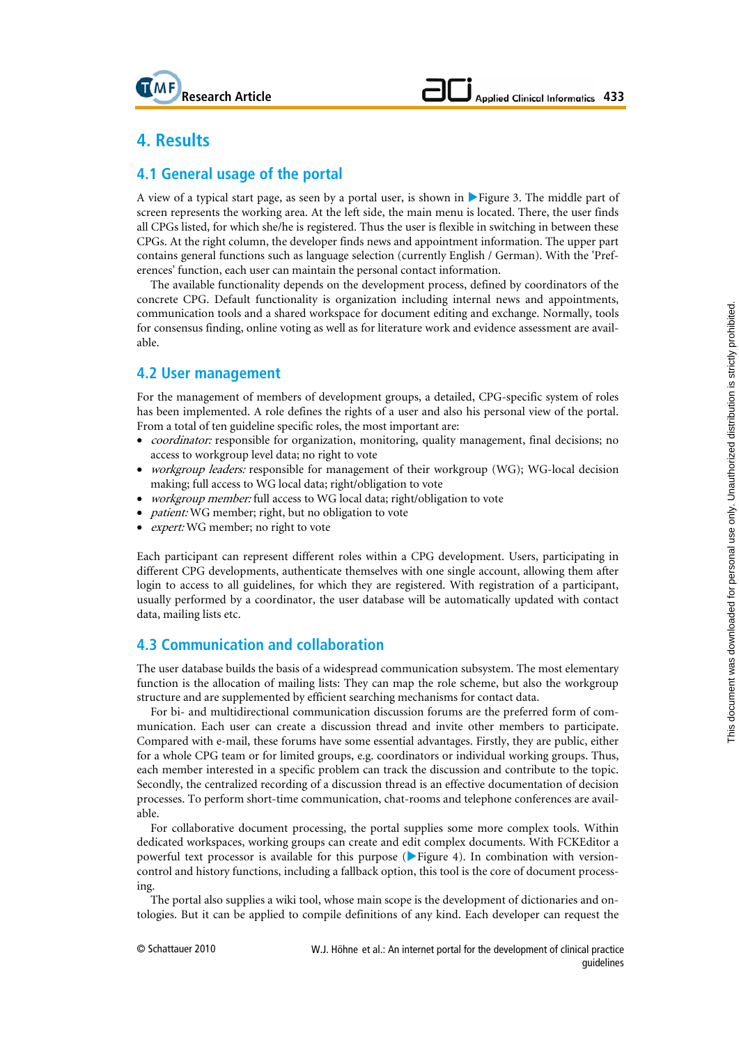# **4. Results**

## **4.1 General usage of the portal**

A view of a typical start page, as seen by a portal user, is shown in  $\blacktriangleright$  Figure 3. The middle part of screen represents the working area. At the left side, the main menu is located. There, the user finds all CPGs listed, for which she/he is registered. Thus the user is flexible in switching in between these CPGs. At the right column, the developer finds news and appointment information. The upper part contains general functions such as language selection (currently English / German). With the 'Preferences' function, each user can maintain the personal contact information.

The available functionality depends on the development process, defined by coordinators of the concrete CPG. Default functionality is organization including internal news and appointments, communication tools and a shared workspace for document editing and exchange. Normally, tools for consensus finding, online voting as well as for literature work and evidence assessment are available.

## **4.2 User management**

For the management of members of development groups, a detailed, CPG-specific system of roles has been implemented. A role defines the rights of a user and also his personal view of the portal. From a total of ten guideline specific roles, the most important are:

- *coordinator:* responsible for organization, monitoring, quality management, final decisions; no access to workgroup level data; no right to vote
- *workgroup leaders:* responsible for management of their workgroup (WG); WG-local decision making; full access to WG local data; right/obligation to vote
- *workgroup member:* full access to WG local data; right/obligation to vote
- *patient:* WG member; right, but no obligation to vote
- expert: WG member; no right to vote

Each participant can represent different roles within a CPG development. Users, participating in different CPG developments, authenticate themselves with one single account, allowing them after login to access to all guidelines, for which they are registered. With registration of a participant, usually performed by a coordinator, the user database will be automatically updated with contact data, mailing lists etc.

## **4.3 Communication and collaboration**

The user database builds the basis of a widespread communication subsystem. The most elementary function is the allocation of mailing lists: They can map the role scheme, but also the workgroup structure and are supplemented by efficient searching mechanisms for contact data.

For bi- and multidirectional communication discussion forums are the preferred form of communication. Each user can create a discussion thread and invite other members to participate. Compared with e-mail, these forums have some essential advantages. Firstly, they are public, either for a whole CPG team or for limited groups, e.g. coordinators or individual working groups. Thus, each member interested in a specific problem can track the discussion and contribute to the topic. Secondly, the centralized recording of a discussion thread is an effective documentation of decision processes. To perform short-time communication, chat-rooms and telephone conferences are available.

For collaborative document processing, the portal supplies some more complex tools. Within dedicated workspaces, working groups can create and edit complex documents. With FCKEditor a powerful text processor is available for this purpose ( $\blacktriangleright$  Figure 4). In combination with versioncontrol and history functions, including a fallback option, this tool is the core of document processing.

The portal also supplies a wiki tool, whose main scope is the development of dictionaries and ontologies. But it can be applied to compile definitions of any kind. Each developer can request the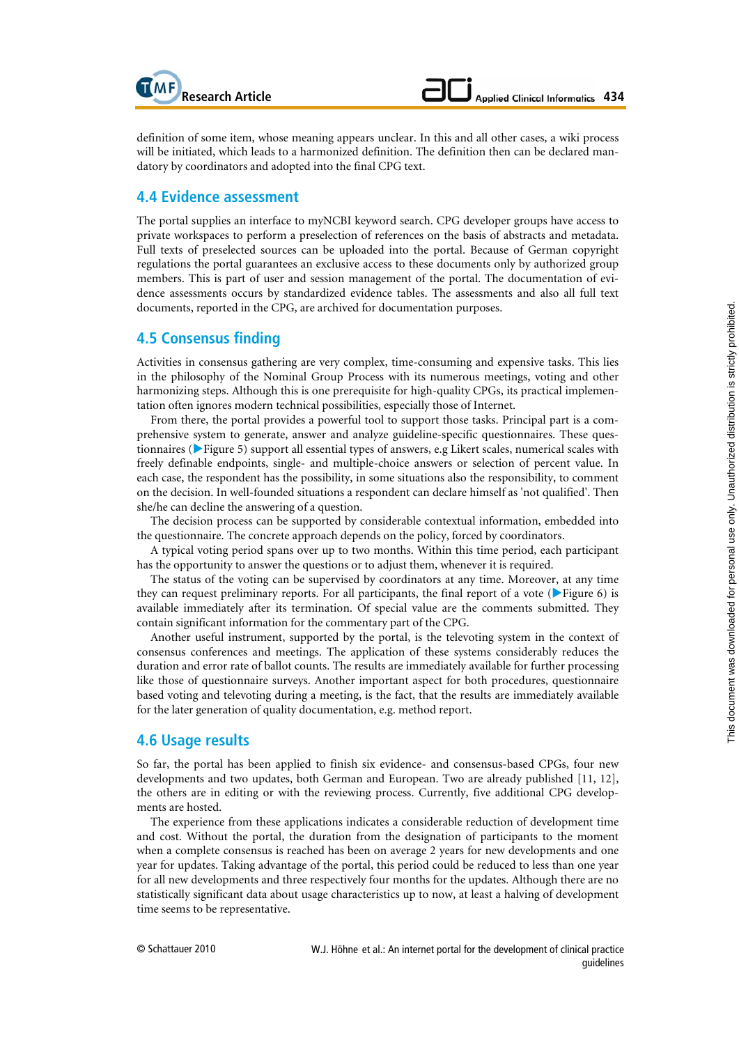

definition of some item, whose meaning appears unclear. In this and all other cases, a wiki process will be initiated, which leads to a harmonized definition. The definition then can be declared mandatory by coordinators and adopted into the final CPG text.

## **4.4 Evidence assessment**

The portal supplies an interface to myNCBI keyword search. CPG developer groups have access to private workspaces to perform a preselection of references on the basis of abstracts and metadata. Full texts of preselected sources can be uploaded into the portal. Because of German copyright regulations the portal guarantees an exclusive access to these documents only by authorized group members. This is part of user and session management of the portal. The documentation of evidence assessments occurs by standardized evidence tables. The assessments and also all full text documents, reported in the CPG, are archived for documentation purposes.

## **4.5 Consensus finding**

Activities in consensus gathering are very complex, time-consuming and expensive tasks. This lies in the philosophy of the Nominal Group Process with its numerous meetings, voting and other harmonizing steps. Although this is one prerequisite for high-quality CPGs, its practical implementation often ignores modern technical possibilities, especially those of Internet.

From there, the portal provides a powerful tool to support those tasks. Principal part is a comprehensive system to generate, answer and analyze guideline-specific questionnaires. These questionnaires ( $\blacktriangleright$  Figure 5) support all essential types of answers, e.g Likert scales, numerical scales with freely definable endpoints, single- and multiple-choice answers or selection of percent value. In each case, the respondent has the possibility, in some situations also the responsibility, to comment on the decision. In well-founded situations a respondent can declare himself as 'not qualified'. Then she/he can decline the answering of a question.

The decision process can be supported by considerable contextual information, embedded into the questionnaire. The concrete approach depends on the policy, forced by coordinators.

A typical voting period spans over up to two months. Within this time period, each participant has the opportunity to answer the questions or to adjust them, whenever it is required.

The status of the voting can be supervised by coordinators at any time. Moreover, at any time they can request preliminary reports. For all participants, the final report of a vote ( $\blacktriangleright$  Figure 6) is available immediately after its termination. Of special value are the comments submitted. They contain significant information for the commentary part of the CPG.

Another useful instrument, supported by the portal, is the televoting system in the context of consensus conferences and meetings. The application of these systems considerably reduces the duration and error rate of ballot counts. The results are immediately available for further processing like those of questionnaire surveys. Another important aspect for both procedures, questionnaire based voting and televoting during a meeting, is the fact, that the results are immediately available for the later generation of quality documentation, e.g. method report.

## **4.6 Usage results**

So far, the portal has been applied to finish six evidence- and consensus-based CPGs, four new developments and two updates, both German and European. Two are already published [11, 12], the others are in editing or with the reviewing process. Currently, five additional CPG developments are hosted.

The experience from these applications indicates a considerable reduction of development time and cost. Without the portal, the duration from the designation of participants to the moment when a complete consensus is reached has been on average 2 years for new developments and one year for updates. Taking advantage of the portal, this period could be reduced to less than one year for all new developments and three respectively four months for the updates. Although there are no statistically significant data about usage characteristics up to now, at least a halving of development time seems to be representative.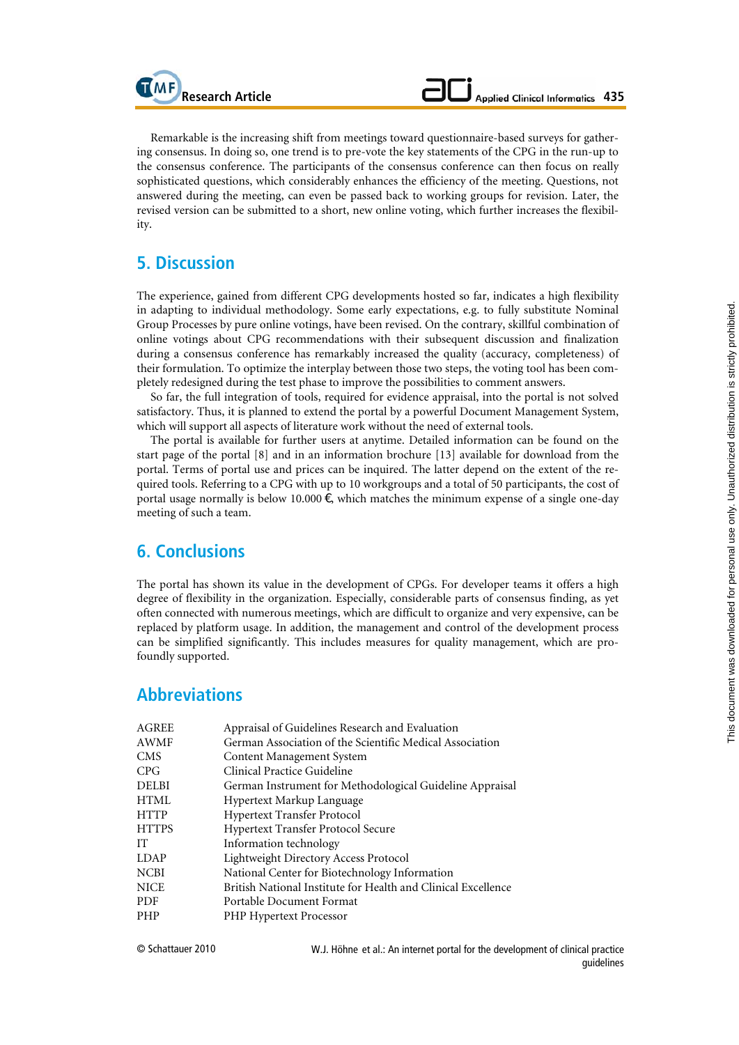Remarkable is the increasing shift from meetings toward questionnaire-based surveys for gathering consensus. In doing so, one trend is to pre-vote the key statements of the CPG in the run-up to the consensus conference. The participants of the consensus conference can then focus on really sophisticated questions, which considerably enhances the efficiency of the meeting. Questions, not answered during the meeting, can even be passed back to working groups for revision. Later, the revised version can be submitted to a short, new online voting, which further increases the flexibility.

# **5. Discussion**

The experience, gained from different CPG developments hosted so far, indicates a high flexibility in adapting to individual methodology. Some early expectations, e.g. to fully substitute Nominal Group Processes by pure online votings, have been revised. On the contrary, skillful combination of online votings about CPG recommendations with their subsequent discussion and finalization during a consensus conference has remarkably increased the quality (accuracy, completeness) of their formulation. To optimize the interplay between those two steps, the voting tool has been completely redesigned during the test phase to improve the possibilities to comment answers.

So far, the full integration of tools, required for evidence appraisal, into the portal is not solved satisfactory. Thus, it is planned to extend the portal by a powerful Document Management System, which will support all aspects of literature work without the need of external tools.

The portal is available for further users at anytime. Detailed information can be found on the start page of the portal [8] and in an information brochure [13] available for download from the portal. Terms of portal use and prices can be inquired. The latter depend on the extent of the required tools. Referring to a CPG with up to 10 workgroups and a total of 50 participants, the cost of portal usage normally is below 10.000  $\epsilon$ , which matches the minimum expense of a single one-day meeting of such a team.

# **6. Conclusions**

The portal has shown its value in the development of CPGs. For developer teams it offers a high degree of flexibility in the organization. Especially, considerable parts of consensus finding, as yet often connected with numerous meetings, which are difficult to organize and very expensive, can be replaced by platform usage. In addition, the management and control of the development process can be simplified significantly. This includes measures for quality management, which are profoundly supported.

# **Abbreviations**

| AGREE        | Appraisal of Guidelines Research and Evaluation               |
|--------------|---------------------------------------------------------------|
| AWMF         | German Association of the Scientific Medical Association      |
| CMS          | <b>Content Management System</b>                              |
| $\rm{CPG}$   | Clinical Practice Guideline                                   |
| DELBI        | German Instrument for Methodological Guideline Appraisal      |
| HTML         | Hypertext Markup Language                                     |
| HTTP         | Hypertext Transfer Protocol                                   |
| <b>HTTPS</b> | Hypertext Transfer Protocol Secure                            |
| IТ           | Information technology                                        |
| LDAP         | Lightweight Directory Access Protocol                         |
| NCBI         | National Center for Biotechnology Information                 |
| NICE         | British National Institute for Health and Clinical Excellence |
| PDF          | Portable Document Format                                      |
| PHP          | <b>PHP Hypertext Processor</b>                                |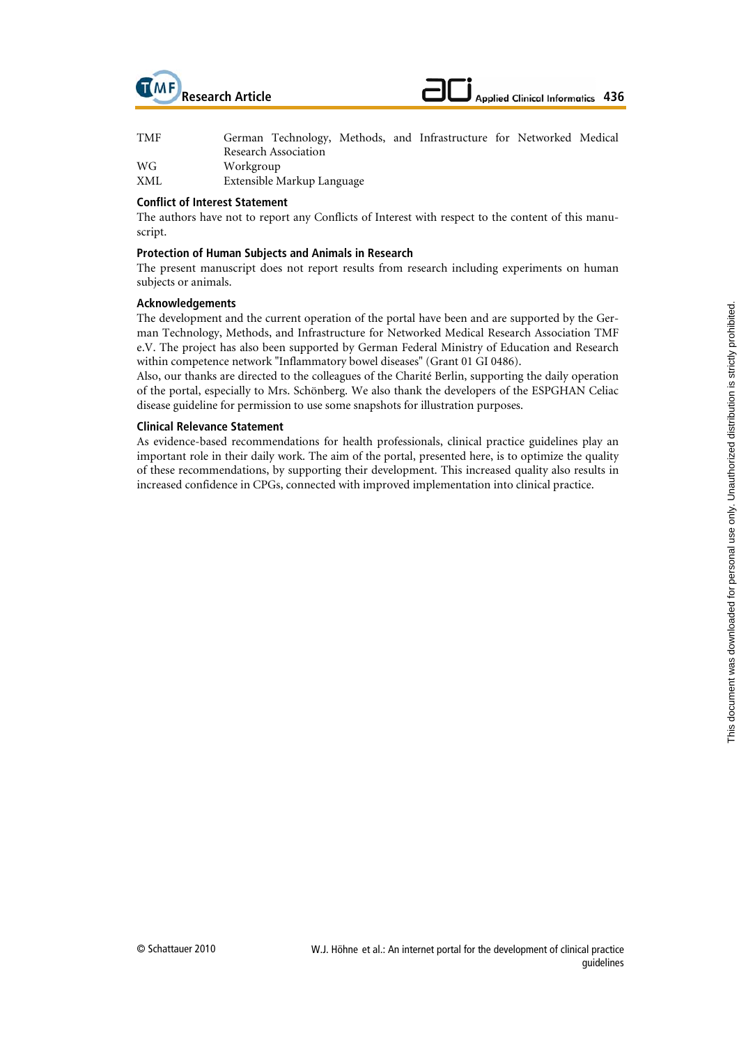

| <b>TMF</b> | German Technology, Methods, and Infrastructure for Networked Medical |
|------------|----------------------------------------------------------------------|
|            | Research Association                                                 |
| - WG       | Workgroup                                                            |
| XML        | Extensible Markup Language                                           |

## **Conflict of Interest Statement**

The authors have not to report any Conflicts of Interest with respect to the content of this manuscript.

## **Protection of Human Subjects and Animals in Research**

The present manuscript does not report results from research including experiments on human subjects or animals.

#### **Acknowledgements**

The development and the current operation of the portal have been and are supported by the German Technology, Methods, and Infrastructure for Networked Medical Research Association TMF e.V. The project has also been supported by German Federal Ministry of Education and Research within competence network "Inflammatory bowel diseases" (Grant 01 GI 0486).

Also, our thanks are directed to the colleagues of the Charité Berlin, supporting the daily operation of the portal, especially to Mrs. Schönberg. We also thank the developers of the ESPGHAN Celiac disease guideline for permission to use some snapshots for illustration purposes.

## **Clinical Relevance Statement**

As evidence-based recommendations for health professionals, clinical practice guidelines play an important role in their daily work. The aim of the portal, presented here, is to optimize the quality of these recommendations, by supporting their development. This increased quality also results in increased confidence in CPGs, connected with improved implementation into clinical practice.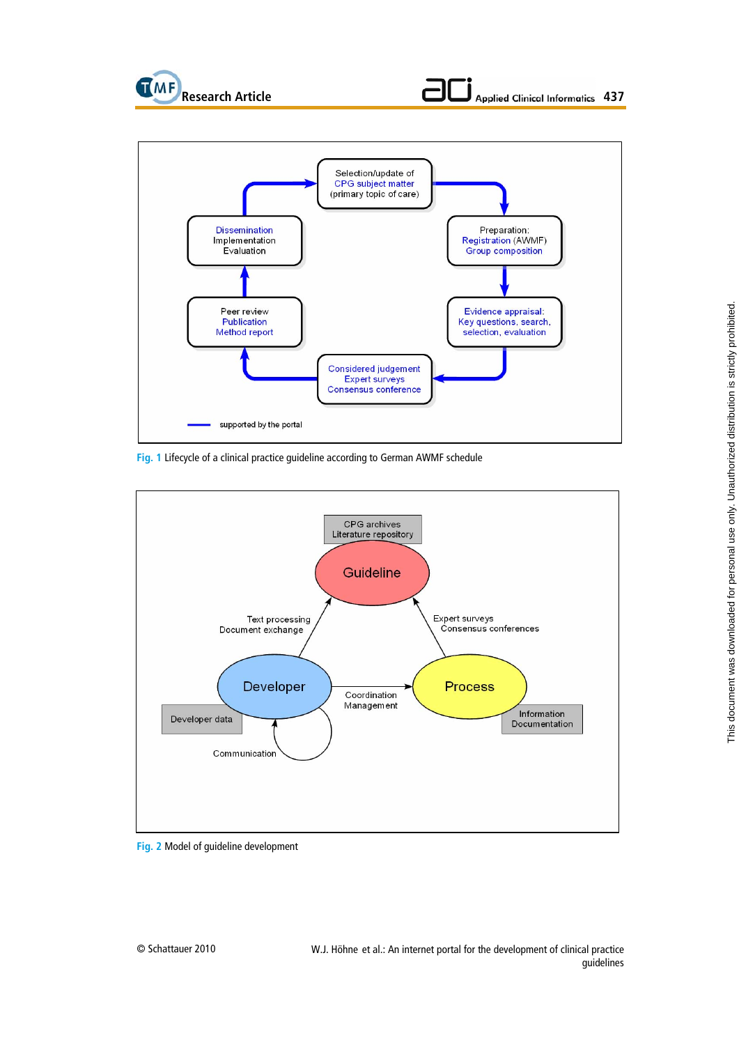



**Fig. 1** Lifecycle of a clinical practice guideline according to German AWMF schedule



**Fig. 2** Model of guideline development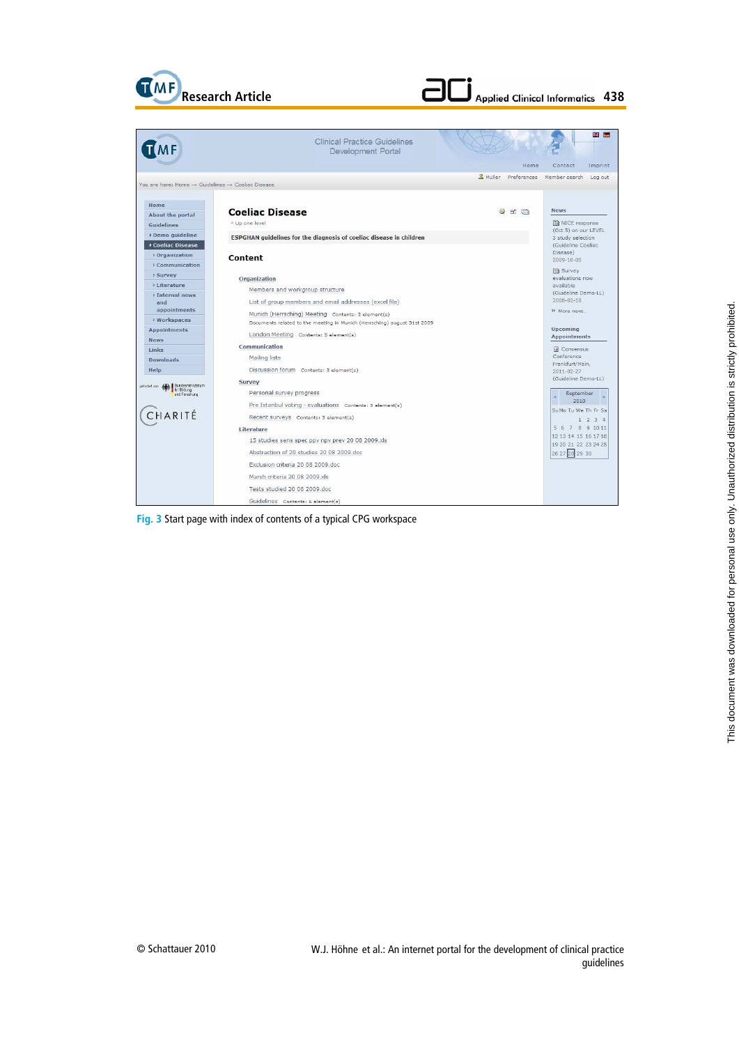



|                                                                                                                                                                                                                                                                                                                                                                                                                                                                                                 | <b>Clinical Practice Guidelines</b><br><b>Development Portal</b>                                                                                                                                                                                                                                                                                                                                                                                                                                                                                                                                                                                                                                                                                                                                                  | Home                               | 田田<br>Imprint<br>Contact                                                                                                                                                                                                                                                                                                                                                                                                                                                                                               |
|-------------------------------------------------------------------------------------------------------------------------------------------------------------------------------------------------------------------------------------------------------------------------------------------------------------------------------------------------------------------------------------------------------------------------------------------------------------------------------------------------|-------------------------------------------------------------------------------------------------------------------------------------------------------------------------------------------------------------------------------------------------------------------------------------------------------------------------------------------------------------------------------------------------------------------------------------------------------------------------------------------------------------------------------------------------------------------------------------------------------------------------------------------------------------------------------------------------------------------------------------------------------------------------------------------------------------------|------------------------------------|------------------------------------------------------------------------------------------------------------------------------------------------------------------------------------------------------------------------------------------------------------------------------------------------------------------------------------------------------------------------------------------------------------------------------------------------------------------------------------------------------------------------|
|                                                                                                                                                                                                                                                                                                                                                                                                                                                                                                 |                                                                                                                                                                                                                                                                                                                                                                                                                                                                                                                                                                                                                                                                                                                                                                                                                   | & Müller Preferences Member search | Log out                                                                                                                                                                                                                                                                                                                                                                                                                                                                                                                |
| You are here: Home $\rightarrow$ Guidelines $\rightarrow$ Coeliac Disease<br>Home<br>About the portal<br><b>Guidelines</b><br>Demo quideline<br>Coeliac Disease<br><sup>D</sup> Organization<br><b>D</b> Communication<br><b>Survey</b><br><b>D</b> Literature<br><b>DInternal news</b><br>and<br>appointments<br><b>Morkspaces</b><br><b>Appointments</b><br><b>News</b><br>Links<br>Downloads<br>Help<br>gefordert vom <b>De Bundesministerium</b><br>für Bildung<br>und Forschung<br>CHARITÉ | <b>Coeliac Disease</b><br><sup>4</sup> Up one level<br>ESPGHAN quidelines for the diagnosis of coeliac disease in children<br><b>Content</b><br>Organization<br>Members and workgroup structure<br>List of group members and email addresses (excel file)<br>Munich (Herrsching) Meeting Contents: 2 element(s)<br>Documents related to the meeting in Munich (Herrsching) august 31st 2009<br>London Meeting Contents: 5 element(s)<br>Communication<br>Mailing lists<br>Discussion forum Contents: 3 element(s)<br>Survey<br>Personal survey progress<br>Pre Istanbul voting - evaluations  Contents: 5 element(s)<br>Recent surveys Contents: 3 element(s)<br>Literature<br>15 studies sens spec ppv npv prev 20 08 2009.xls<br>Abstraction of 20 studies 20 08 2009.doc<br>Exclusion criteria 20 08 2009.doc. | H.                                 | <b>News</b><br>NICE response<br>(Oct 5) on our LEVEL<br>3 study selection<br>(Guideline Coeliac<br>Disease)<br>2009-10-05<br><b>m</b> Survey<br>evaluations now<br>available<br>(Guideline Demo-LL)<br>2008-02-18<br>» More news<br><b>Upcoming</b><br><b>Appointments</b><br>ial Consensus<br>Conference<br>Frankfurt/Main,<br>2011-02-27<br>(Guideline Demo-LL)<br>September<br>2010<br>Su Mo Tu We Th Fr Sa<br>$1 \t2 \t3 \t4$<br>5 6 7 8 9 10 11<br>12 13 14 15 16 17 18<br>19 20 21 22 23 24 25<br>26 27 28 29 30 |
|                                                                                                                                                                                                                                                                                                                                                                                                                                                                                                 | Marsh criteria 20.08.2009.xls<br>Tests studied 20 08 2009.doc<br>Guidelines Contents: 6 element(s)                                                                                                                                                                                                                                                                                                                                                                                                                                                                                                                                                                                                                                                                                                                |                                    |                                                                                                                                                                                                                                                                                                                                                                                                                                                                                                                        |

**Fig. 3** Start page with index of contents of a typical CPG workspace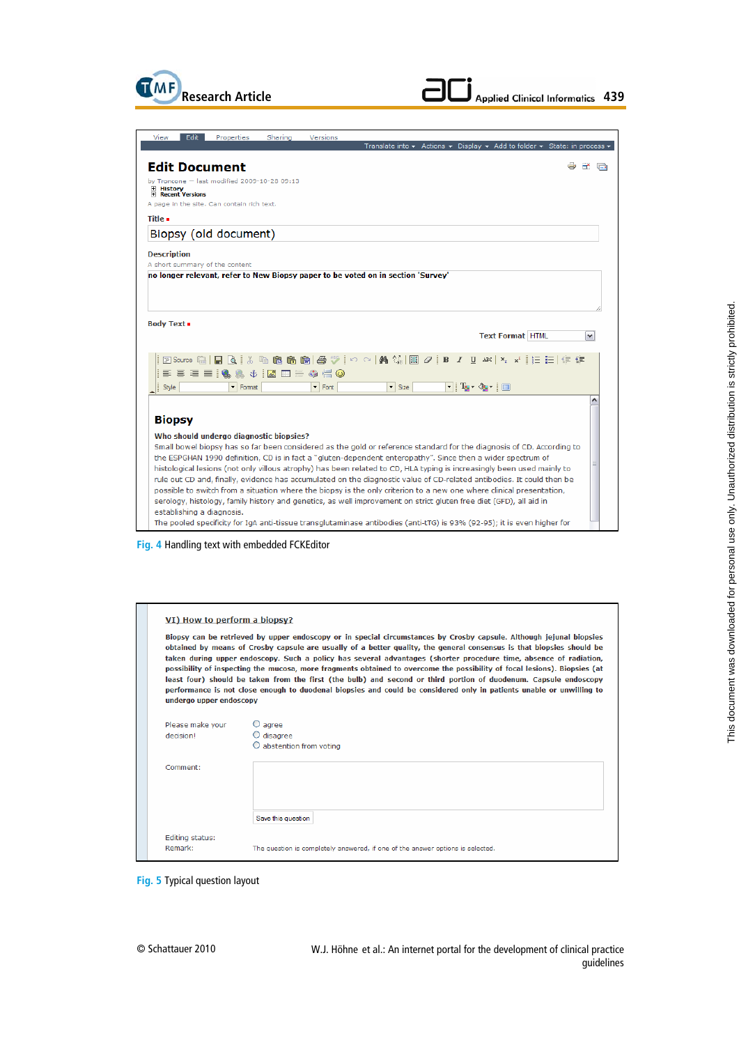| View                                       | Edit<br>Properties                                                                                                                                                                                                                            | Sharing                                                                | Versions                     |                            |                                                                                                |                                                                                                |         |              |
|--------------------------------------------|-----------------------------------------------------------------------------------------------------------------------------------------------------------------------------------------------------------------------------------------------|------------------------------------------------------------------------|------------------------------|----------------------------|------------------------------------------------------------------------------------------------|------------------------------------------------------------------------------------------------|---------|--------------|
|                                            |                                                                                                                                                                                                                                               |                                                                        |                              |                            |                                                                                                | Translate into $\star$ Actions $\star$ Display $\star$ Add to folder $\star$ State: in process |         |              |
|                                            | <b>Edit Document</b>                                                                                                                                                                                                                          |                                                                        |                              |                            |                                                                                                |                                                                                                | ÷<br>m. |              |
| <b>History</b><br><b>F</b> Recent Versions | by Troncone $-$ last modified 2009-10-28 09:13<br>A page in the site. Can contain rich text.                                                                                                                                                  |                                                                        |                              |                            |                                                                                                |                                                                                                |         |              |
| Title .                                    |                                                                                                                                                                                                                                               |                                                                        |                              |                            |                                                                                                |                                                                                                |         |              |
|                                            | Biopsy (old document)                                                                                                                                                                                                                         |                                                                        |                              |                            |                                                                                                |                                                                                                |         |              |
|                                            |                                                                                                                                                                                                                                               |                                                                        |                              |                            |                                                                                                |                                                                                                |         |              |
| <b>Description</b>                         |                                                                                                                                                                                                                                               |                                                                        |                              |                            |                                                                                                |                                                                                                |         |              |
|                                            | A short summary of the content<br>no longer relevant, refer to New Biopsy paper to be voted on in section 'Survey'                                                                                                                            |                                                                        |                              |                            |                                                                                                |                                                                                                |         |              |
|                                            |                                                                                                                                                                                                                                               |                                                                        |                              |                            |                                                                                                |                                                                                                |         |              |
|                                            |                                                                                                                                                                                                                                               |                                                                        |                              |                            |                                                                                                |                                                                                                |         |              |
|                                            |                                                                                                                                                                                                                                               |                                                                        |                              |                            |                                                                                                |                                                                                                |         |              |
| <b>Body Text</b>                           |                                                                                                                                                                                                                                               |                                                                        |                              |                            |                                                                                                |                                                                                                |         |              |
|                                            |                                                                                                                                                                                                                                               |                                                                        |                              |                            |                                                                                                | <b>Text Format HTML</b>                                                                        |         | $\checkmark$ |
|                                            |                                                                                                                                                                                                                                               |                                                                        |                              |                            |                                                                                                |                                                                                                |         |              |
|                                            |                                                                                                                                                                                                                                               |                                                                        |                              |                            |                                                                                                |                                                                                                |         |              |
| <b>F</b> Source   日                        |                                                                                                                                                                                                                                               | Q▌▓▕░ ® ® ®   @ ヅ ▏○ ○   @ ░   圓 <i>Q</i> ┆B / U æ │ × x ▏ ¦E ¦E   使 使 |                              |                            |                                                                                                |                                                                                                |         |              |
|                                            | $E \equiv E \equiv \begin{bmatrix} 0 & 0 & 0 \\ 0 & 0 & 0 \end{bmatrix} \quad E \equiv E \equiv E \pmod{10}$                                                                                                                                  |                                                                        |                              |                            |                                                                                                |                                                                                                |         |              |
| Style                                      | $\blacktriangleright$ Format                                                                                                                                                                                                                  |                                                                        | $\blacktriangleright$   Font | $\blacktriangleright$ Size | $ \mathbb{F}_{\mathbf{B}}$ $\cdot$ $\mathbb{Q}_{\mathbf{B}}$ $\cdot$ $\mathbb{F}_{\mathbf{B}}$ |                                                                                                |         |              |
|                                            |                                                                                                                                                                                                                                               |                                                                        |                              |                            |                                                                                                |                                                                                                |         |              |
|                                            |                                                                                                                                                                                                                                               |                                                                        |                              |                            |                                                                                                |                                                                                                |         |              |
| <b>Biopsy</b>                              |                                                                                                                                                                                                                                               |                                                                        |                              |                            |                                                                                                |                                                                                                |         |              |
|                                            | Who should undergo diagnostic biopsies?                                                                                                                                                                                                       |                                                                        |                              |                            |                                                                                                |                                                                                                |         |              |
|                                            | Small bowel biopsy has so far been considered as the gold or reference standard for the diagnosis of CD. According to                                                                                                                         |                                                                        |                              |                            |                                                                                                |                                                                                                |         |              |
|                                            | the ESPGHAN 1990 definition, CD is in fact a "gluten-dependent enteropathy". Since then a wider spectrum of                                                                                                                                   |                                                                        |                              |                            |                                                                                                |                                                                                                |         |              |
|                                            | histological lesions (not only villous atrophy) has been related to CD, HLA typing is increasingly been used mainly to                                                                                                                        |                                                                        |                              |                            |                                                                                                |                                                                                                |         |              |
|                                            | rule out CD and, finally, evidence has accumulated on the diagnostic value of CD-related antibodies. It could then be<br>possible to switch from a situation where the biopsy is the only criterion to a new one where clinical presentation, |                                                                        |                              |                            |                                                                                                |                                                                                                |         |              |
|                                            | serology, histology, family history and genetics, as well improvement on strict gluten free diet (GFD), all aid in                                                                                                                            |                                                                        |                              |                            |                                                                                                |                                                                                                |         |              |
|                                            | establishing a diagnosis.<br>The pooled specificity for IgA anti-tissue transglutaminase antibodies (anti-tTG) is 93% (92-95); it is even higher for                                                                                          |                                                                        |                              |                            |                                                                                                |                                                                                                |         |              |

**Fig. 4** Handling text with embedded FCKEditor

| undergo upper endoscopy       | Biopsy can be retrieved by upper endoscopy or in special circumstances by Crosby capsule. Although jejunal biopsies<br>obtained by means of Crosby capsule are usually of a better quality, the general consensus is that biopsies should be<br>taken during upper endoscopy. Such a policy has several advantages (shorter procedure time, absence of radiation,<br>possibility of inspecting the mucosa, more fragments obtained to overcome the possibility of focal lesions). Biopsies (at<br>least four) should be taken from the first (the bulb) and second or third portion of duodenum. Capsule endoscopy<br>performance is not close enough to duodenal biopsies and could be considered only in patients unable or unwilling to |
|-------------------------------|--------------------------------------------------------------------------------------------------------------------------------------------------------------------------------------------------------------------------------------------------------------------------------------------------------------------------------------------------------------------------------------------------------------------------------------------------------------------------------------------------------------------------------------------------------------------------------------------------------------------------------------------------------------------------------------------------------------------------------------------|
| Please make your<br>decision! | $O$ agree<br>O disagree<br>$\bigcirc$ abstention from voting                                                                                                                                                                                                                                                                                                                                                                                                                                                                                                                                                                                                                                                                               |
| Comment:                      |                                                                                                                                                                                                                                                                                                                                                                                                                                                                                                                                                                                                                                                                                                                                            |

**Fig. 5** Typical question layout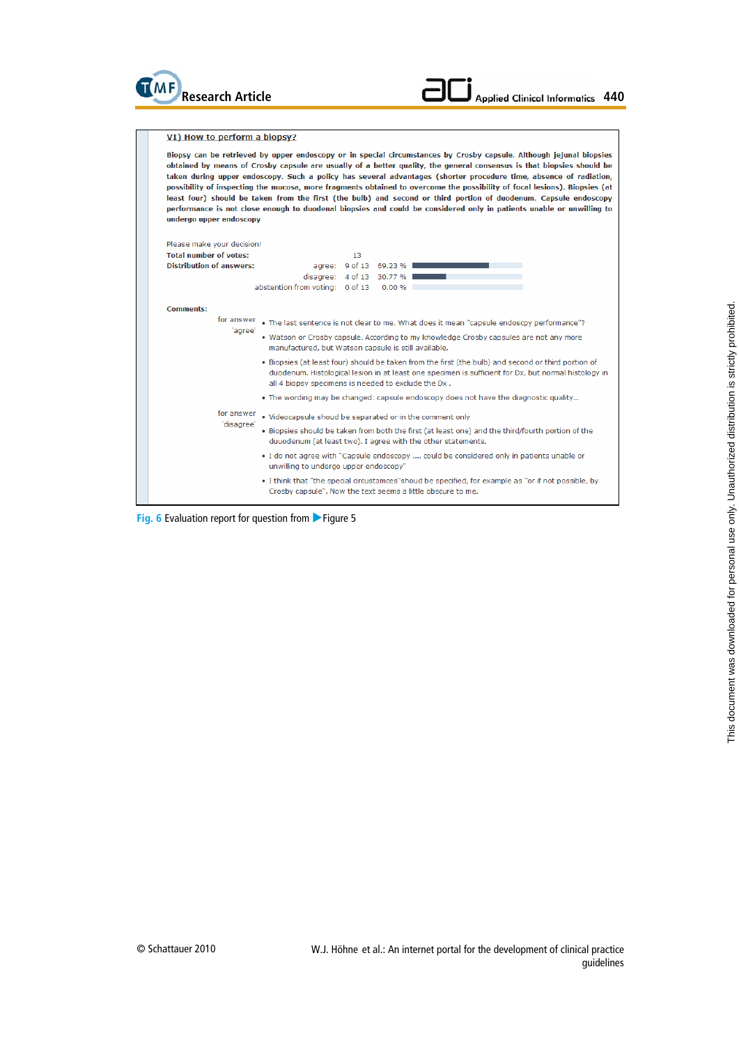

#### VI) How to perform a biopsy?

| undergo upper endoscopy         |                                                                                                                                                                   |    |  | obtained by means of Crosby capsule are usually of a better quality, the general consensus is that biopsies should be<br>taken during upper endoscopy. Such a policy has several advantages (shorter procedure time, absence of radiation,<br>possibility of inspecting the mucosa, more fragments obtained to overcome the possibility of focal lesions). Biopsies (at<br>least four) should be taken from the first (the bulb) and second or third portion of duodenum. Capsule endoscopy<br>performance is not close enough to duodenal biopsies and could be considered only in patients unable or unwilling to |  |  |
|---------------------------------|-------------------------------------------------------------------------------------------------------------------------------------------------------------------|----|--|---------------------------------------------------------------------------------------------------------------------------------------------------------------------------------------------------------------------------------------------------------------------------------------------------------------------------------------------------------------------------------------------------------------------------------------------------------------------------------------------------------------------------------------------------------------------------------------------------------------------|--|--|
| Please make your decision!      |                                                                                                                                                                   |    |  |                                                                                                                                                                                                                                                                                                                                                                                                                                                                                                                                                                                                                     |  |  |
| <b>Total number of votes:</b>   |                                                                                                                                                                   | 13 |  |                                                                                                                                                                                                                                                                                                                                                                                                                                                                                                                                                                                                                     |  |  |
| <b>Distribution of answers:</b> | agree:                                                                                                                                                            |    |  | 9 of 13 69.23 %                                                                                                                                                                                                                                                                                                                                                                                                                                                                                                                                                                                                     |  |  |
|                                 | disagree: 4 of 13 30.77 %                                                                                                                                         |    |  |                                                                                                                                                                                                                                                                                                                                                                                                                                                                                                                                                                                                                     |  |  |
|                                 | abstention from voting: 0 of 13 0.00 %                                                                                                                            |    |  |                                                                                                                                                                                                                                                                                                                                                                                                                                                                                                                                                                                                                     |  |  |
| <b>Comments:</b>                |                                                                                                                                                                   |    |  |                                                                                                                                                                                                                                                                                                                                                                                                                                                                                                                                                                                                                     |  |  |
|                                 |                                                                                                                                                                   |    |  | for answer . The last sentence is not clear to me. What does it mean "capsule endoscpy performance"?                                                                                                                                                                                                                                                                                                                                                                                                                                                                                                                |  |  |
| 'agree'                         | manufactured, but Watson capsule is still available.                                                                                                              |    |  | . Watson or Crosby capsule. According to my knowledge Crosby capsules are not any more                                                                                                                                                                                                                                                                                                                                                                                                                                                                                                                              |  |  |
|                                 | all 4 biopsy specimens is needed to exclude the Dx.                                                                                                               |    |  | . Biopsies (at least four) should be taken from the first (the bulb) and second or third portion of<br>duodenum. Histological lesion in at least one specimen is sufficient for Dx, but normal histology in                                                                                                                                                                                                                                                                                                                                                                                                         |  |  |
|                                 |                                                                                                                                                                   |    |  | . The wording may be changed: capsule endoscopy does not have the diagnostic quality                                                                                                                                                                                                                                                                                                                                                                                                                                                                                                                                |  |  |
| for answer                      | . Videocapsule shoud be separated or in the comment only                                                                                                          |    |  |                                                                                                                                                                                                                                                                                                                                                                                                                                                                                                                                                                                                                     |  |  |
| 'disagree'                      | . Biopsies should be taken from both the first (at least one) and the third/fourth portion of the<br>duuodenum (at least two). I agree with the other statements. |    |  |                                                                                                                                                                                                                                                                                                                                                                                                                                                                                                                                                                                                                     |  |  |
|                                 | unwilling to undergo upper endoscopy"                                                                                                                             |    |  | • I do not agree with "Capsule endoscopy  could be considered only in patients unable or                                                                                                                                                                                                                                                                                                                                                                                                                                                                                                                            |  |  |
|                                 | Crosby capsule". Now the text seems a little obscure to me.                                                                                                       |    |  | • I think that "the special circustamces" shoud be specified, for example as "or if not possible, by                                                                                                                                                                                                                                                                                                                                                                                                                                                                                                                |  |  |

**Fig. 6 Evaluation report for question from Figure 5**